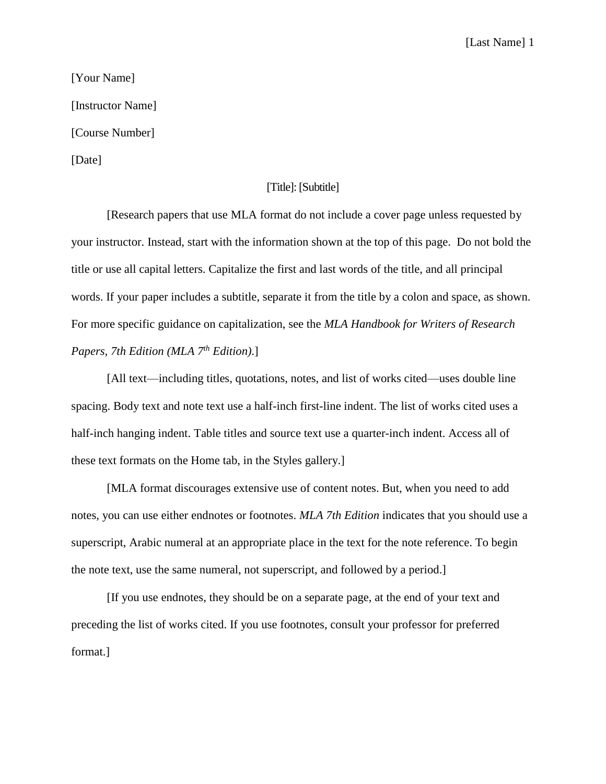## [Last Name] 1

[Your Name] [Instructor Name] [Course Number] [Date]

## [Title]: [Subtitle]

[Research papers that use MLA format do not include a cover page unless requested by your instructor. Instead, start with the information shown at the top of this page. Do not bold the title or use all capital letters. Capitalize the first and last words of the title, and all principal words. If your paper includes a subtitle, separate it from the title by a colon and space, as shown. For more specific guidance on capitalization, see the *MLA Handbook for Writers of Research Papers, 7th Edition (MLA 7th Edition)*.]

[All text—including titles, quotations, notes, and list of works cited—uses double line spacing. Body text and note text use a half-inch first-line indent. The list of works cited uses a half-inch hanging indent. Table titles and source text use a quarter-inch indent. Access all of these text formats on the Home tab, in the Styles gallery.]

[MLA format discourages extensive use of content notes. But, when you need to add notes, you can use either endnotes or footnotes. *MLA 7th Edition* indicates that you should use a superscript, Arabic numeral at an appropriate place in the text for the note reference. To begin the note text, use the same numeral, not superscript, and followed by a period.]

[If you use endnotes, they should be on a separate page, at the end of your text and preceding the list of works cited. If you use footnotes, consult your professor for preferred format.]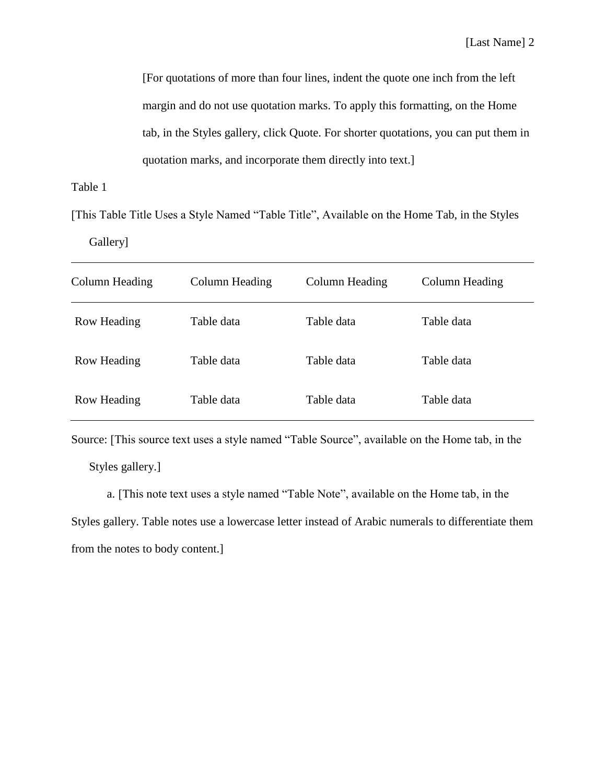[For quotations of more than four lines, indent the quote one inch from the left margin and do not use quotation marks. To apply this formatting, on the Home tab, in the Styles gallery, click Quote. For shorter quotations, you can put them in quotation marks, and incorporate them directly into text.]

Table 1

[This Table Title Uses a Style Named "Table Title", Available on the Home Tab, in the Styles

Gallery]

| Column Heading | Column Heading | Column Heading | Column Heading |
|----------------|----------------|----------------|----------------|
| Row Heading    | Table data     | Table data     | Table data     |
| Row Heading    | Table data     | Table data     | Table data     |
| Row Heading    | Table data     | Table data     | Table data     |

Source: [This source text uses a style named "Table Source", available on the Home tab, in the Styles gallery.]

a. [This note text uses a style named "Table Note", available on the Home tab, in the Styles gallery. Table notes use a lowercase letter instead of Arabic numerals to differentiate them from the notes to body content.]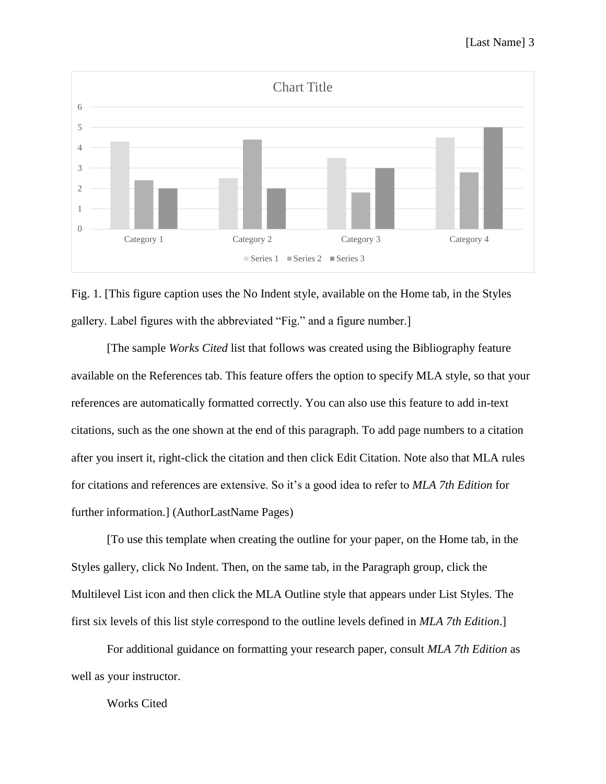



[The sample *Works Cited* list that follows was created using the Bibliography feature available on the References tab. This feature offers the option to specify MLA style, so that your references are automatically formatted correctly. You can also use this feature to add in-text citations, such as the one shown at the end of this paragraph. To add page numbers to a citation after you insert it, right-click the citation and then click Edit Citation. Note also that MLA rules for citations and references are extensive. So it's a good idea to refer to *MLA 7th Edition* for further information.] (AuthorLastName Pages)

[To use this template when creating the outline for your paper, on the Home tab, in the Styles gallery, click No Indent. Then, on the same tab, in the Paragraph group, click the Multilevel List icon and then click the MLA Outline style that appears under List Styles. The first six levels of this list style correspond to the outline levels defined in *MLA 7th Edition*.]

For additional guidance on formatting your research paper, consult *MLA 7th Edition* as well as your instructor.

Works Cited